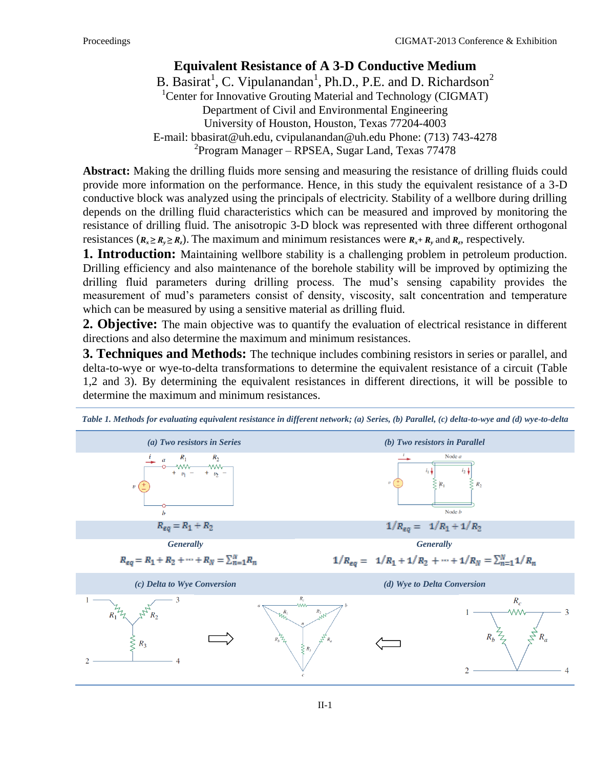## **Equivalent Resistance of A 3-D Conductive Medium**

B. Basirat<sup>1</sup>, C. Vipulanandan<sup>1</sup>, Ph.D., P.E. and D. Richardson<sup>2</sup> <sup>1</sup>Center for Innovative Grouting Material and Technology (CIGMAT) Department of Civil and Environmental Engineering University of Houston, Houston, Texas 77204-4003 E-mail: [bbasirat@uh.edu,](mailto:bbasirat@uh.edu) cvipulanandan@uh.edu Phone: (713) 743-4278 <sup>2</sup> Program Manager – RPSEA, Sugar Land, Texas 77478

**Abstract:** Making the drilling fluids more sensing and measuring the resistance of drilling fluids could provide more information on the performance. Hence, in this study the equivalent resistance of a 3-D conductive block was analyzed using the principals of electricity. Stability of a wellbore during drilling depends on the drilling fluid characteristics which can be measured and improved by monitoring the resistance of drilling fluid. The anisotropic 3-D block was represented with three different orthogonal resistances  $(R_x \ge R_y \ge R_z)$ . The maximum and minimum resistances were  $R_x + R_y$  and  $R_z$ , respectively.

**1. Introduction:** Maintaining wellbore stability is a challenging problem in petroleum production. Drilling efficiency and also maintenance of the borehole stability will be improved by optimizing the drilling fluid parameters during drilling process. The mud's sensing capability provides the measurement of mud's parameters consist of density, viscosity, salt concentration and temperature which can be measured by using a sensitive material as drilling fluid.

**2. Objective:** The main objective was to quantify the evaluation of electrical resistance in different directions and also determine the maximum and minimum resistances.

**3. Techniques and Methods:** The technique includes combining resistors in series or parallel, and delta-to-wye or wye-to-delta transformations to determine the equivalent resistance of a circuit (Table 1,2 and 3). By determining the equivalent resistances in different directions, it will be possible to determine the maximum and minimum resistances.